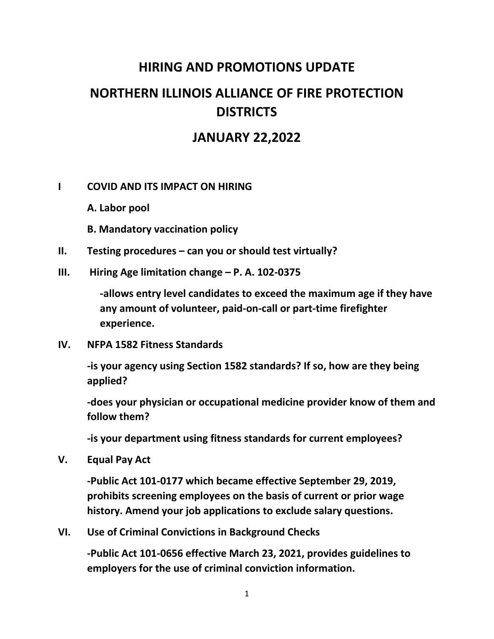## **HIRING AND PROMOTIONS UPDATE NORTHERN ILLINOIS ALLIANCE OF FIRE PROTECTION DISTRICTS**

## **JANUARY 22,2022**

## **I COVID AND ITS IMPACT ON HIRING**

**A. Labor pool**

**B. Mandatory vaccination policy**

**II. Testing procedures – can you or should test virtually?**

**III. Hiring Age limitation change – P. A. 102-0375**

**-allows entry level candidates to exceed the maximum age if they have any amount of volunteer, paid-on-call or part-time firefighter experience.**

**IV. NFPA 1582 Fitness Standards**

**-is your agency using Section 1582 standards? If so, how are they being applied?**

**-does your physician or occupational medicine provider know of them and follow them?**

**-is your department using fitness standards for current employees?**

**V. Equal Pay Act**

**-Public Act 101-0177 which became effective September 29, 2019, prohibits screening employees on the basis of current or prior wage history. Amend your job applications to exclude salary questions.**

**VI. Use of Criminal Convictions in Background Checks**

**-Public Act 101-0656 effective March 23, 2021, provides guidelines to employers for the use of criminal conviction information.**